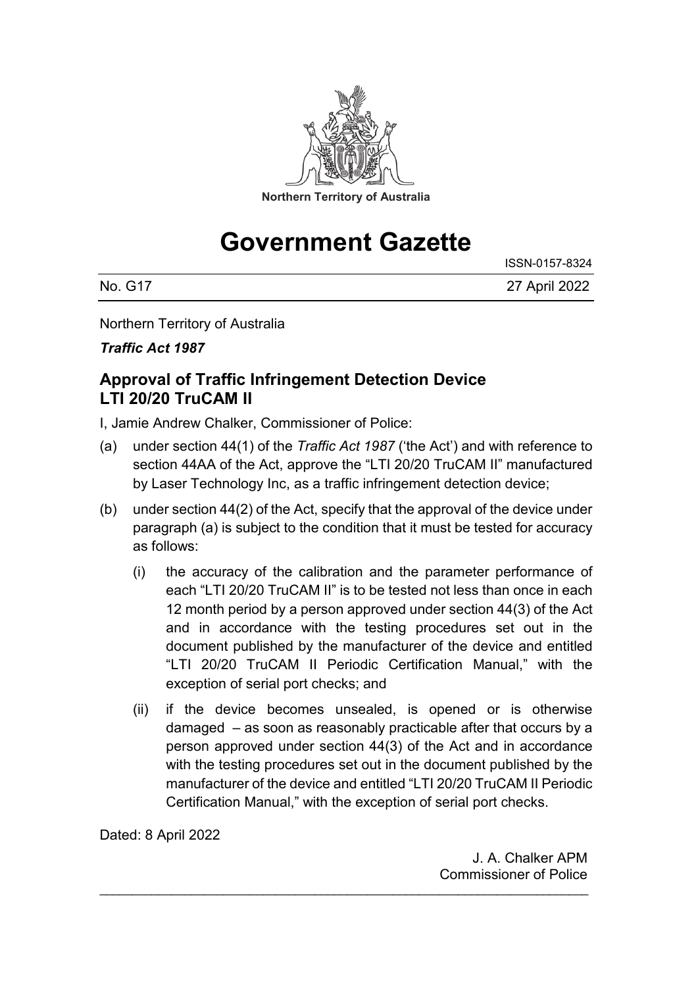

# **Government Gazette**

| No. G17 | 27 April 2022 |
|---------|---------------|

Northern Territory of Australia

*Traffic Act 1987*

#### **Approval of Traffic Infringement Detection Device LTI 20/20 TruCAM II**

I, Jamie Andrew Chalker, Commissioner of Police:

- (a) under section 44(1) of the *Traffic Act 1987* ('the Act') and with reference to section 44AA of the Act, approve the "LTI 20/20 TruCAM II" manufactured by Laser Technology Inc, as a traffic infringement detection device;
- (b) under section 44(2) of the Act, specify that the approval of the device under paragraph (a) is subject to the condition that it must be tested for accuracy as follows:
	- (i) the accuracy of the calibration and the parameter performance of each "LTI 20/20 TruCAM II" is to be tested not less than once in each 12 month period by a person approved under section 44(3) of the Act and in accordance with the testing procedures set out in the document published by the manufacturer of the device and entitled "LTI 20/20 TruCAM II Periodic Certification Manual," with the exception of serial port checks; and
	- (ii) if the device becomes unsealed, is opened or is otherwise damaged – as soon as reasonably practicable after that occurs by a person approved under section 44(3) of the Act and in accordance with the testing procedures set out in the document published by the manufacturer of the device and entitled "LTI 20/20 TruCAM II Periodic Certification Manual," with the exception of serial port checks.

\_\_\_\_\_\_\_\_\_\_\_\_\_\_\_\_\_\_\_\_\_\_\_\_\_\_\_\_\_\_\_\_\_\_\_\_\_\_\_\_\_\_\_\_\_\_\_\_\_\_\_\_\_\_\_\_\_\_\_\_\_\_\_\_\_\_\_\_\_\_\_\_\_\_\_

Dated: 8 April 2022

J. A. Chalker APM Commissioner of Police

ISSN-0157-8324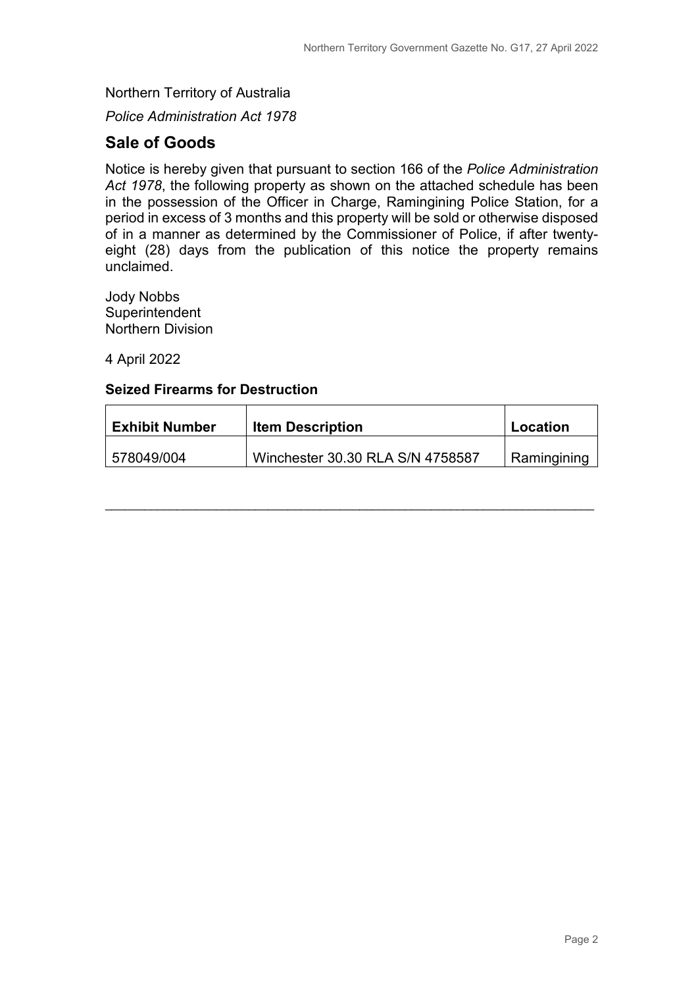Northern Territory of Australia

*Police Administration Act 1978*

#### **Sale of Goods**

Notice is hereby given that pursuant to section 166 of the *Police Administration Act 1978*, the following property as shown on the attached schedule has been in the possession of the Officer in Charge, Ramingining Police Station, for a period in excess of 3 months and this property will be sold or otherwise disposed of in a manner as determined by the Commissioner of Police, if after twentyeight (28) days from the publication of this notice the property remains unclaimed.

Jody Nobbs **Superintendent** Northern Division

4 April 2022

#### **Seized Firearms for Destruction**

| <b>Exhibit Number</b> | <b>Item Description</b>          | Location    |
|-----------------------|----------------------------------|-------------|
| 578049/004            | Winchester 30.30 RLA S/N 4758587 | Ramingining |

\_\_\_\_\_\_\_\_\_\_\_\_\_\_\_\_\_\_\_\_\_\_\_\_\_\_\_\_\_\_\_\_\_\_\_\_\_\_\_\_\_\_\_\_\_\_\_\_\_\_\_\_\_\_\_\_\_\_\_\_\_\_\_\_\_\_\_\_\_\_\_\_\_\_\_